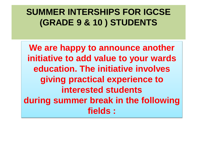### **SUMMER INTERSHIPS FOR IGCSE (GRADE 9 & 10 ) STUDENTS**

**We are happy to announce another initiative to add value to your wards education. The initiative involves giving practical experience to interested students during summer break in the following fields :**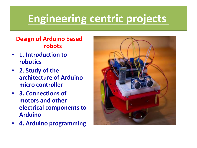# **Engineering centric projects**

#### **Design of Arduino based robots**

- **1. Introduction to robotics**
- **2. Study of the architecture of Arduino micro controller**
- **3. Connections of motors and other electrical components to Arduino**
- **4. Arduino programming**

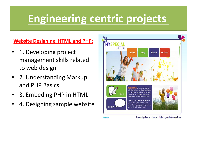# **Engineering centric projects**

#### **Website Designing: HTML and PHP:**

- 1. Developing project management skills related to web design
- 2. Understanding Markup and PHP Basics.
- 3. Embeding PHP in HTML
- 4. Designing sample website



twitter

home I privacy I terms I links I goods & services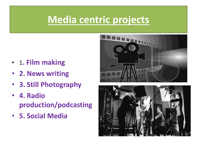## **Media centric projects**

- 1**. Film making**
- **2. News writing**
- **3. Still Photography**
- **4. Radio production/podcasting**
- **5. Social Media**



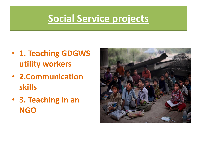## **Social Service projects**

- **1. Teaching GDGWS utility workers**
- **2.Communication skills**
- **3. Teaching in an NGO**

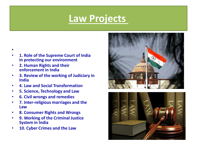### **Law Projects**

- **1. Role of the Supreme Court of India in protecting our environment**
- **2. Human Rights and their enforcement in India**

•

- **3. Review of the working of Judiciary in India**
- **4. Law and Social Transformation**
- **5. Science, Technology and Law**
- **6. Civil wrongs and remedies**
- **7. Inter-religious marriages and the Law**
- **8. Consumer Rights and Wrongs**
- **9. Working of the Criminal Justice System in India**
- **10. Cyber Crimes and the Law**